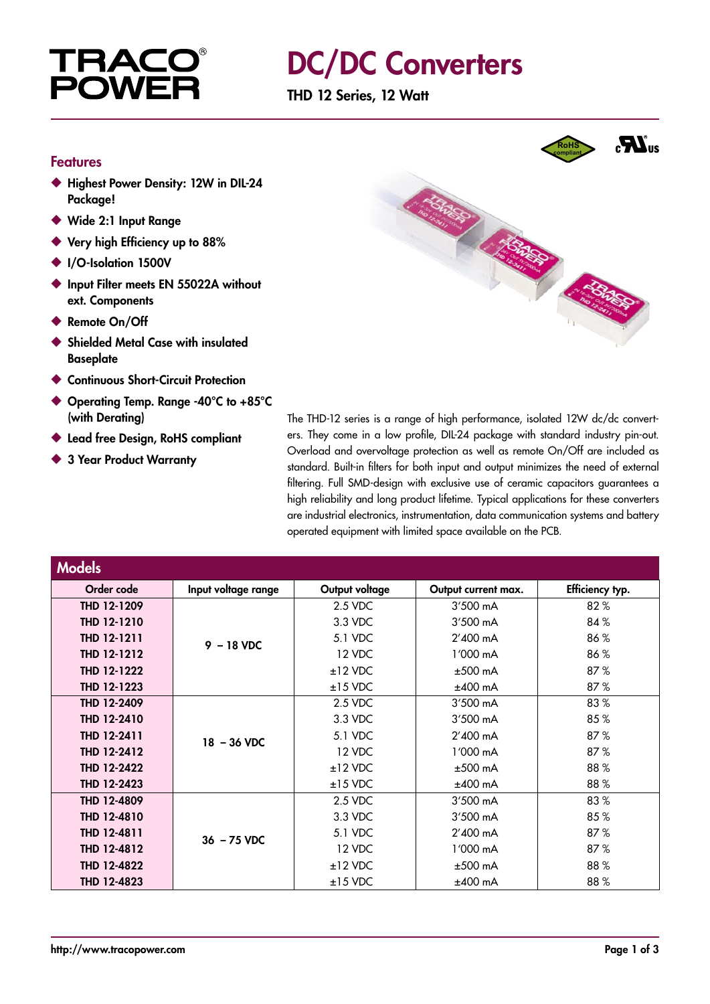

### DC/DC Converters

THD 12 Series, 12 Watt

#### Features

- ◆ Highest Power Density: 12W in DIL-24 Package!
- ◆ Wide 2:1 Input Range
- ◆ Very high Efficiency up to 88%
- ◆ I/O-Isolation 1500V
- ◆ Input Filter meets EN 55022A without ext. Components
- ◆ Remote On/Off
- ◆ Shielded Metal Case with insulated **Baseplate**
- ◆ Continuous Short-Circuit Protection
- ◆ Operating Temp. Range -40°C to +85°C (with Derating)
- ◆ Lead free Desian, RoHS compliant
- ◆ 3 Year Product Warranty



The THD-12 series is a range of high performance, isolated 12W dc/dc converters. They come in a low profile, DIL-24 package with standard industry pin-out. Overload and overvoltage protection as well as remote On/Off are included as standard. Built-in filters for both input and output minimizes the need of external filtering. Full SMD-design with exclusive use of ceramic capacitors guarantees a high reliability and long product lifetime. Typical applications for these converters are industrial electronics, instrumentation, data communication systems and battery operated equipment with limited space available on the PCB.

| <b>Models</b> |                     |                |                     |                 |
|---------------|---------------------|----------------|---------------------|-----------------|
| Order code    | Input voltage range | Output voltage | Output current max. | Efficiency typ. |
| THD 12-1209   | $9 - 18$ VDC        | 2.5 VDC        | $3'500$ mA          | 82%             |
| THD 12-1210   |                     | 3.3 VDC        | 3'500 mA            | 84%             |
| THD 12-1211   |                     | 5.1 VDC        | 2'400 mA            | 86%             |
| THD 12-1212   |                     | 12 VDC         | 1'000 mA            | 86%             |
| THD 12-1222   |                     | $±12$ VDC      | $±500$ mA           | 87%             |
| THD 12-1223   |                     | $±15$ VDC      | $±400$ mA           | 87%             |
| THD 12-2409   | $18 - 36$ VDC       | 2.5 VDC        | 3'500 mA            | 83%             |
| THD 12-2410   |                     | 3.3 VDC        | 3'500 mA            | 85%             |
| THD 12-2411   |                     | 5.1 VDC        | 2'400 mA            | 87%             |
| THD 12-2412   |                     | 12 VDC         | 1'000 mA            | 87%             |
| THD 12-2422   |                     | $±12$ VDC      | $±500$ mA           | 88%             |
| THD 12-2423   |                     | $±15$ VDC      | $±400$ mA           | 88%             |
| THD 12-4809   | $36 - 75$ VDC       | 2.5 VDC        | 3'500 mA            | 83%             |
| THD 12-4810   |                     | 3.3 VDC        | 3'500 mA            | 85%             |
| THD 12-4811   |                     | 5.1 VDC        | 2'400 mA            | 87%             |
| THD 12-4812   |                     | 12 VDC         | 1'000 mA            | 87%             |
| THD 12-4822   |                     | $±12$ VDC      | $±500$ mA           | 88%             |
| THD 12-4823   |                     | $±15$ VDC      | $±400$ mA           | 88%             |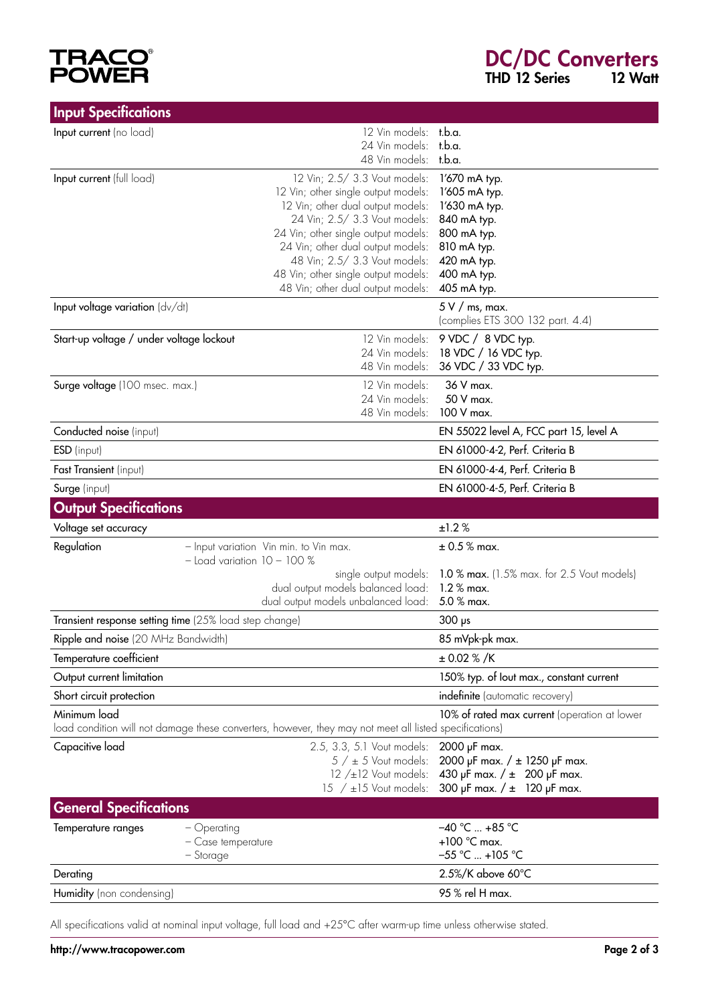## **TRACO®**<br>POWER

| <b>Input Specifications</b>                            |                                                                                                        |                                                                      |
|--------------------------------------------------------|--------------------------------------------------------------------------------------------------------|----------------------------------------------------------------------|
| Input current (no load)                                | 12 Vin models: t.b.a.                                                                                  |                                                                      |
|                                                        | 24 Vin models: t.b.a.                                                                                  |                                                                      |
|                                                        | 48 Vin models:                                                                                         | t.b.a.                                                               |
| Input current (full load)                              | 12 Vin; 2.5/ 3.3 Vout models:                                                                          | 1'670 mA typ.<br>1'605 mA typ.                                       |
|                                                        | 12 Vin; other single output models:<br>12 Vin; other dual output models:                               | 1'630 mA typ.                                                        |
|                                                        | 24 Vin; 2.5/ 3.3 Vout models:                                                                          | 840 mA typ.                                                          |
|                                                        | 24 Vin; other single output models:                                                                    | 800 mA typ.                                                          |
|                                                        | 24 Vin; other dual output models:                                                                      | 810 mA typ.                                                          |
|                                                        | 48 Vin; 2.5/ 3.3 Vout models:<br>48 Vin; other single output models:                                   | 420 mA typ.<br>400 mA typ.                                           |
|                                                        | 48 Vin; other dual output models:                                                                      | 405 mA typ.                                                          |
| Input voltage variation (dv/dt)                        |                                                                                                        | $5 V /$ ms, max.                                                     |
|                                                        |                                                                                                        | (complies ETS 300 132 part. 4.4)                                     |
| Start-up voltage / under voltage lockout               | 12 Vin models:                                                                                         | 9 VDC / 8 VDC typ.                                                   |
|                                                        | 24 Vin models:                                                                                         | 18 VDC / 16 VDC typ.                                                 |
|                                                        | 48 Vin models:                                                                                         | 36 VDC / 33 VDC typ.                                                 |
| Surge voltage (100 msec. max.)                         | 12 Vin models:                                                                                         | 36 V max.                                                            |
|                                                        | 24 Vin models:<br>48 Vin models:                                                                       | 50 V max.<br>100 V max.                                              |
| Conducted noise (input)                                |                                                                                                        | EN 55022 level A, FCC part 15, level A                               |
| ESD (input)                                            |                                                                                                        | EN 61000-4-2, Perf. Criteria B                                       |
| Fast Transient (input)                                 |                                                                                                        | EN 61000-4-4, Perf. Criteria B                                       |
| Surge (input)                                          |                                                                                                        | EN 61000-4-5, Perf. Criteria B                                       |
| <b>Output Specifications</b>                           |                                                                                                        |                                                                      |
|                                                        |                                                                                                        | ±1.2%                                                                |
| Voltage set accuracy                                   |                                                                                                        |                                                                      |
| Regulation                                             | - Input variation Vin min. to Vin max.<br>$-$ Load variation $10 - 100\%$                              | $\pm$ 0.5 % max.                                                     |
|                                                        | single output models:<br>dual output models balanced load:                                             | 1.0 % max. (1.5% max. for 2.5 Vout models)<br>$1.2 %$ max.           |
|                                                        | dual output models unbalanced load:                                                                    | 5.0 % max.                                                           |
| Transient response setting time (25% load step change) |                                                                                                        | $300$ ps                                                             |
| Ripple and noise (20 MHz Bandwidth)                    |                                                                                                        | 85 mVpk-pk max.                                                      |
| Temperature coefficient                                |                                                                                                        | $\pm 0.02 \% / K$                                                    |
| Output current limitation                              |                                                                                                        | 150% typ. of lout max., constant current                             |
| Short circuit protection                               |                                                                                                        | indefinite (automatic recovery)                                      |
| Minimum load                                           |                                                                                                        | 10% of rated max current (operation at lower                         |
|                                                        | load condition will not damage these converters, however, they may not meet all listed specifications) |                                                                      |
| Capacitive load                                        | 2.5, 3.3, 5.1 Vout models:                                                                             | 2000 µF max.                                                         |
|                                                        | $5 / ± 5$ Vout models:<br>$12 / \pm 12$ Vout models:                                                   | 2000 µF max. $/ \pm 1250$ µF max.<br>430 µF max. $/ \pm 200$ µF max. |
|                                                        | 15 $/$ ±15 Vout models:                                                                                | 300 µF max. $/$ ± 120 µF max.                                        |
| <b>General Specifications</b>                          |                                                                                                        |                                                                      |
| Temperature ranges<br>- Operating                      |                                                                                                        | $-40$ °C  +85 °C                                                     |
|                                                        | - Case temperature                                                                                     | $+100$ °C max.                                                       |
| - Storage                                              |                                                                                                        | $-55$ °C  +105 °C                                                    |
| Derating                                               |                                                                                                        | 2.5%/K above 60°C                                                    |
| Humidity (non condensing)                              |                                                                                                        | 95 % rel H max.                                                      |

All specifications valid at nominal input voltage, full load and +25°C after warm-up time unless otherwise stated.